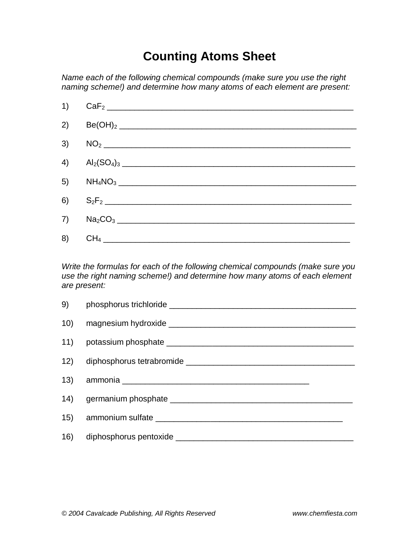## **Counting Atoms Sheet**

*Name each of the following chemical compounds (make sure you use the right naming scheme!) and determine how many atoms of each element are present:*



*Write the formulas for each of the following chemical compounds (make sure you use the right naming scheme!) and determine how many atoms of each element are present:*